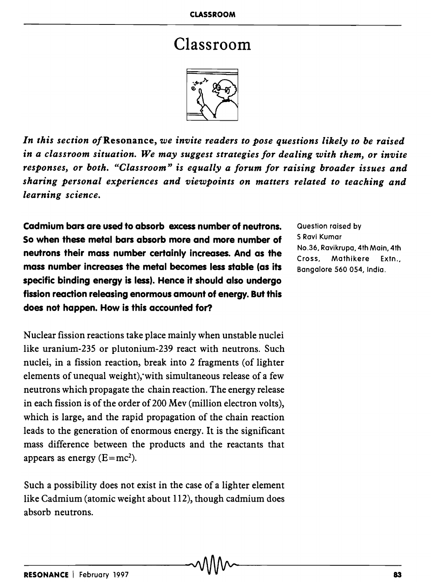## Classroom



*In this section of* Resonance, *we invite readers to pose questions likely to be raised*  in *a classroom situation. We may suggest strategies for dealing with them, or invite responses, or both. "Classroom" is equally a forum for raising broader issues and sharing personal experiences and viewpoints on matters related to teaching and learning science.* 

Cadmium bars are used to absorb excess number of neutrons. So when these metal bars absorb more and more number of neutrons their mass number certainly increases. And as the mass number increases the metal becomes less stable (as its specific binding energy is less). Hence it should also undergo fission reaction releasing enormous amount of energy. But this does not happen. How is this accounted for?

Nuclear fission reactions take place mainly when unstable nuclei like uranium-235 or plutonium-239 react with neutrons. Such nuclei, in a fission reaction, break into 2 fragments (of lighter elements of unequal weight), with simultaneous release of a few neutrons which propagate the chain reaction. The energy release in each fission is of the order of 200 Mev (million electron volts), which is large, and the rapid propagation of the chain reaction leads to the generation of enormous energy. It is the significant mass difference between the products and the reactants that appears as energy  $(E=mc^2)$ .

Such a possibility does not exist in the case of a lighter element like Cadmium (atomic weight about 112), though cadmium does absorb neutrons.

Question raised by S Ravi Kumar No.36, Ravikrupa, 4th Main, 4th Cross, Mathikere Extn., Bangalore 560 054, India.